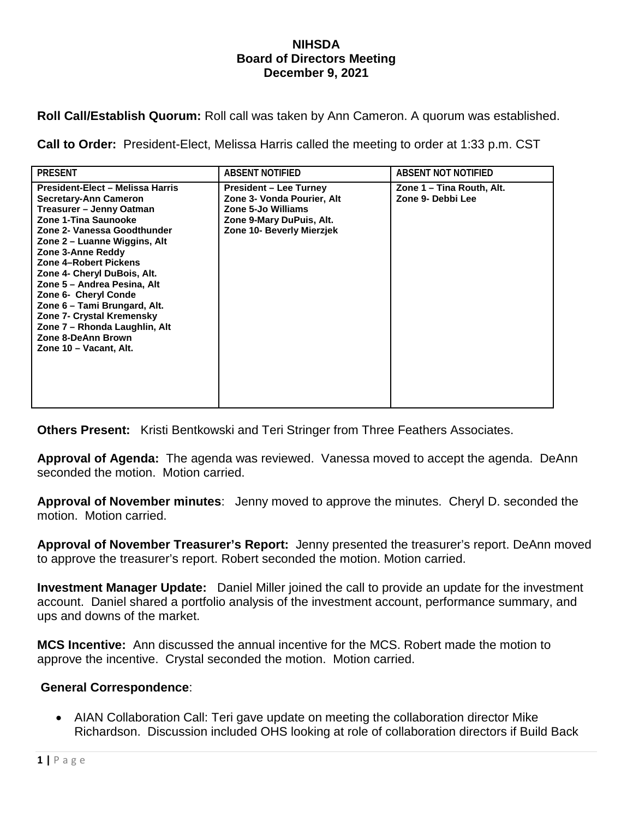## **NIHSDA Board of Directors Meeting December 9, 2021**

**Roll Call/Establish Quorum:** Roll call was taken by Ann Cameron. A quorum was established.

**Call to Order:** President-Elect, Melissa Harris called the meeting to order at 1:33 p.m. CST

| <b>PRESENT</b>                                                                                                                                                                                                                                                                                                                                                                                                                                                        | ABSENT NOTIFIED                                                                                                                            | ABSENT NOT NOTIFIED                            |
|-----------------------------------------------------------------------------------------------------------------------------------------------------------------------------------------------------------------------------------------------------------------------------------------------------------------------------------------------------------------------------------------------------------------------------------------------------------------------|--------------------------------------------------------------------------------------------------------------------------------------------|------------------------------------------------|
| President-Elect - Melissa Harris<br><b>Secretary-Ann Cameron</b><br>Treasurer – Jenny Oatman<br>Zone 1-Tina Saunooke<br>Zone 2- Vanessa Goodthunder<br>Zone 2 – Luanne Wiggins, Alt<br>Zone 3-Anne Reddy<br>Zone 4-Robert Pickens<br>Zone 4- Cheryl DuBois, Alt.<br>Zone 5 - Andrea Pesina, Alt<br>Zone 6- Cheryl Conde<br>Zone 6 – Tami Brungard, Alt.<br>Zone 7- Crystal Kremensky<br>Zone 7 - Rhonda Laughlin, Alt<br>Zone 8-DeAnn Brown<br>Zone 10 - Vacant, Alt. | <b>President – Lee Turney</b><br>Zone 3- Vonda Pourier, Alt<br>Zone 5-Jo Williams<br>Zone 9-Mary DuPuis, Alt.<br>Zone 10- Beverly Mierzjek | Zone 1 – Tina Routh, Alt.<br>Zone 9- Debbi Lee |

**Others Present:** Kristi Bentkowski and Teri Stringer from Three Feathers Associates.

**Approval of Agenda:** The agenda was reviewed. Vanessa moved to accept the agenda. DeAnn seconded the motion. Motion carried.

**Approval of November minutes**: Jenny moved to approve the minutes. Cheryl D. seconded the motion. Motion carried.

**Approval of November Treasurer's Report:** Jenny presented the treasurer's report. DeAnn moved to approve the treasurer's report. Robert seconded the motion. Motion carried.

**Investment Manager Update:** Daniel Miller joined the call to provide an update for the investment account. Daniel shared a portfolio analysis of the investment account, performance summary, and ups and downs of the market.

**MCS Incentive:** Ann discussed the annual incentive for the MCS. Robert made the motion to approve the incentive. Crystal seconded the motion. Motion carried.

## **General Correspondence**:

• AIAN Collaboration Call: Teri gave update on meeting the collaboration director Mike Richardson. Discussion included OHS looking at role of collaboration directors if Build Back